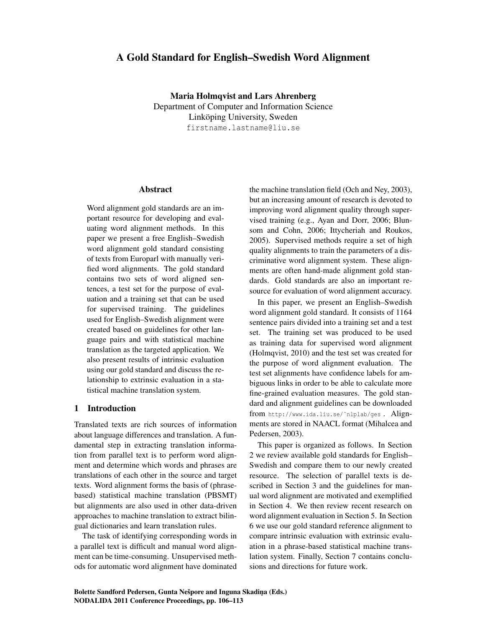# A Gold Standard for English–Swedish Word Alignment

Maria Holmqvist and Lars Ahrenberg Department of Computer and Information Science Linköping University, Sweden firstname.lastname@liu.se

#### Abstract

Word alignment gold standards are an important resource for developing and evaluating word alignment methods. In this paper we present a free English–Swedish word alignment gold standard consisting of texts from Europarl with manually verified word alignments. The gold standard contains two sets of word aligned sentences, a test set for the purpose of evaluation and a training set that can be used for supervised training. The guidelines used for English–Swedish alignment were created based on guidelines for other language pairs and with statistical machine translation as the targeted application. We also present results of intrinsic evaluation using our gold standard and discuss the relationship to extrinsic evaluation in a statistical machine translation system.

### 1 Introduction

Translated texts are rich sources of information about language differences and translation. A fundamental step in extracting translation information from parallel text is to perform word alignment and determine which words and phrases are translations of each other in the source and target texts. Word alignment forms the basis of (phrasebased) statistical machine translation (PBSMT) but alignments are also used in other data-driven approaches to machine translation to extract bilingual dictionaries and learn translation rules.

The task of identifying corresponding words in a parallel text is difficult and manual word alignment can be time-consuming. Unsupervised methods for automatic word alignment have dominated the machine translation field (Och and Ney, 2003), but an increasing amount of research is devoted to improving word alignment quality through supervised training (e.g., Ayan and Dorr, 2006; Blunsom and Cohn, 2006; Ittycheriah and Roukos, 2005). Supervised methods require a set of high quality alignments to train the parameters of a discriminative word alignment system. These alignments are often hand-made alignment gold standards. Gold standards are also an important resource for evaluation of word alignment accuracy.

In this paper, we present an English–Swedish word alignment gold standard. It consists of 1164 sentence pairs divided into a training set and a test set. The training set was produced to be used as training data for supervised word alignment (Holmqvist, 2010) and the test set was created for the purpose of word alignment evaluation. The test set alignments have confidence labels for ambiguous links in order to be able to calculate more fine-grained evaluation measures. The gold standard and alignment guidelines can be downloaded from http://www.ida.liu.se/˜nlplab/ges . Alignments are stored in NAACL format (Mihalcea and Pedersen, 2003).

This paper is organized as follows. In Section 2 we review available gold standards for English– Swedish and compare them to our newly created resource. The selection of parallel texts is described in Section 3 and the guidelines for manual word alignment are motivated and exemplified in Section 4. We then review recent research on word alignment evaluation in Section 5. In Section 6 we use our gold standard reference alignment to compare intrinsic evaluation with extrinsic evaluation in a phrase-based statistical machine translation system. Finally, Section 7 contains conclusions and directions for future work.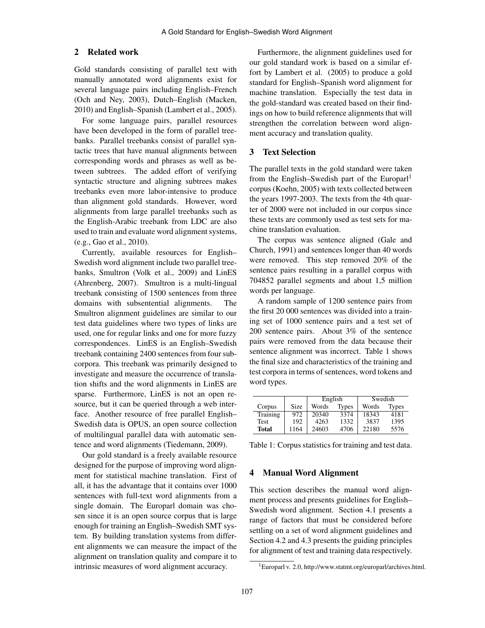# 2 Related work

Gold standards consisting of parallel text with manually annotated word alignments exist for several language pairs including English–French (Och and Ney, 2003), Dutch–English (Macken, 2010) and English–Spanish (Lambert et al., 2005).

For some language pairs, parallel resources have been developed in the form of parallel treebanks. Parallel treebanks consist of parallel syntactic trees that have manual alignments between corresponding words and phrases as well as between subtrees. The added effort of verifying syntactic structure and aligning subtrees makes treebanks even more labor-intensive to produce than alignment gold standards. However, word alignments from large parallel treebanks such as the English-Arabic treebank from LDC are also used to train and evaluate word alignment systems, (e.g., Gao et al., 2010).

Currently, available resources for English– Swedish word alignment include two parallel treebanks, Smultron (Volk et al., 2009) and LinES (Ahrenberg, 2007). Smultron is a multi-lingual treebank consisting of 1500 sentences from three domains with subsentential alignments. The Smultron alignment guidelines are similar to our test data guidelines where two types of links are used, one for regular links and one for more fuzzy correspondences. LinES is an English–Swedish treebank containing 2400 sentences from four subcorpora. This treebank was primarily designed to investigate and measure the occurrence of translation shifts and the word alignments in LinES are sparse. Furthermore, LinES is not an open resource, but it can be queried through a web interface. Another resource of free parallel English– Swedish data is OPUS, an open source collection of multilingual parallel data with automatic sentence and word alignments (Tiedemann, 2009).

Our gold standard is a freely available resource designed for the purpose of improving word alignment for statistical machine translation. First of all, it has the advantage that it contains over 1000 sentences with full-text word alignments from a single domain. The Europarl domain was chosen since it is an open source corpus that is large enough for training an English–Swedish SMT system. By building translation systems from different alignments we can measure the impact of the alignment on translation quality and compare it to intrinsic measures of word alignment accuracy.

Furthermore, the alignment guidelines used for our gold standard work is based on a similar effort by Lambert et al. (2005) to produce a gold standard for English–Spanish word alignment for machine translation. Especially the test data in the gold-standard was created based on their findings on how to build reference alignments that will strengthen the correlation between word alignment accuracy and translation quality.

# 3 Text Selection

The parallel texts in the gold standard were taken from the English–Swedish part of the Europarl<sup>1</sup> corpus (Koehn, 2005) with texts collected between the years 1997-2003. The texts from the 4th quarter of 2000 were not included in our corpus since these texts are commonly used as test sets for machine translation evaluation.

The corpus was sentence aligned (Gale and Church, 1991) and sentences longer than 40 words were removed. This step removed 20% of the sentence pairs resulting in a parallel corpus with 704852 parallel segments and about 1,5 million words per language.

A random sample of 1200 sentence pairs from the first 20 000 sentences was divided into a training set of 1000 sentence pairs and a test set of 200 sentence pairs. About 3% of the sentence pairs were removed from the data because their sentence alignment was incorrect. Table 1 shows the final size and characteristics of the training and test corpora in terms of sentences, word tokens and word types.

|              |      | English               |      | Swedish |              |  |
|--------------|------|-----------------------|------|---------|--------------|--|
| Corpus       | Size | <b>Types</b><br>Words |      | Words   | <b>Types</b> |  |
| Training     | 972  | 20340                 | 3374 | 18343   | 4181         |  |
| Test         | 192  | 4263                  | 1332 | 3837    | 1395         |  |
| <b>Total</b> | 1164 | 24603                 | 4706 | 22180   | 5576         |  |

Table 1: Corpus statistics for training and test data.

# 4 Manual Word Alignment

This section describes the manual word alignment process and presents guidelines for English– Swedish word alignment. Section 4.1 presents a range of factors that must be considered before settling on a set of word alignment guidelines and Section 4.2 and 4.3 presents the guiding principles for alignment of test and training data respectively.

<sup>1</sup>Europarl v. 2.0, http://www.statmt.org/europarl/archives.html.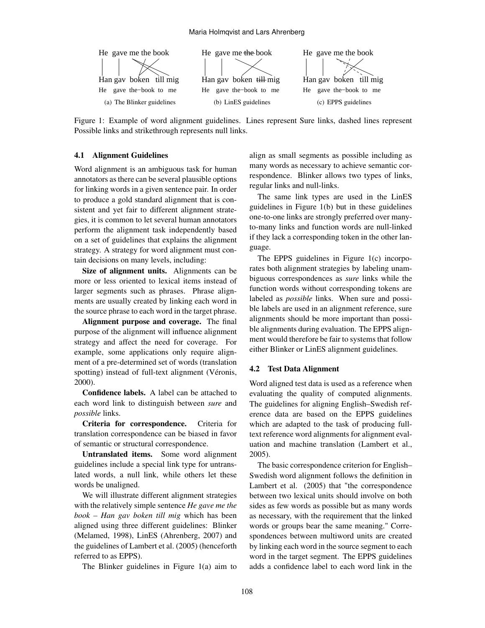

Figure 1: Example of word alignment guidelines. Lines represent Sure links, dashed lines represent Possible links and strikethrough represents null links.

#### 4.1 Alignment Guidelines

Word alignment is an ambiguous task for human annotators as there can be several plausible options for linking words in a given sentence pair. In order to produce a gold standard alignment that is consistent and yet fair to different alignment strategies, it is common to let several human annotators perform the alignment task independently based on a set of guidelines that explains the alignment strategy. A strategy for word alignment must contain decisions on many levels, including:

Size of alignment units. Alignments can be more or less oriented to lexical items instead of larger segments such as phrases. Phrase alignments are usually created by linking each word in the source phrase to each word in the target phrase.

Alignment purpose and coverage. The final purpose of the alignment will influence alignment strategy and affect the need for coverage. For example, some applications only require alignment of a pre-determined set of words (translation spotting) instead of full-text alignment (Véronis, 2000).

Confidence labels. A label can be attached to each word link to distinguish between *sure* and *possible* links.

Criteria for correspondence. Criteria for translation correspondence can be biased in favor of semantic or structural correspondence.

Untranslated items. Some word alignment guidelines include a special link type for untranslated words, a null link, while others let these words be unaligned.

We will illustrate different alignment strategies with the relatively simple sentence *He gave me the book – Han gav boken till mig* which has been aligned using three different guidelines: Blinker (Melamed, 1998), LinES (Ahrenberg, 2007) and the guidelines of Lambert et al. (2005) (henceforth referred to as EPPS).

The Blinker guidelines in Figure 1(a) aim to

align as small segments as possible including as many words as necessary to achieve semantic correspondence. Blinker allows two types of links, regular links and null-links.

The same link types are used in the LinES guidelines in Figure 1(b) but in these guidelines one-to-one links are strongly preferred over manyto-many links and function words are null-linked if they lack a corresponding token in the other language.

The EPPS guidelines in Figure 1(c) incorporates both alignment strategies by labeling unambiguous correspondences as *sure* links while the function words without corresponding tokens are labeled as *possible* links. When sure and possible labels are used in an alignment reference, sure alignments should be more important than possible alignments during evaluation. The EPPS alignment would therefore be fair to systems that follow either Blinker or LinES alignment guidelines.

#### 4.2 Test Data Alignment

Word aligned test data is used as a reference when evaluating the quality of computed alignments. The guidelines for aligning English–Swedish reference data are based on the EPPS guidelines which are adapted to the task of producing fulltext reference word alignments for alignment evaluation and machine translation (Lambert et al., 2005).

The basic correspondence criterion for English– Swedish word alignment follows the definition in Lambert et al. (2005) that "the correspondence between two lexical units should involve on both sides as few words as possible but as many words as necessary, with the requirement that the linked words or groups bear the same meaning." Correspondences between multiword units are created by linking each word in the source segment to each word in the target segment. The EPPS guidelines adds a confidence label to each word link in the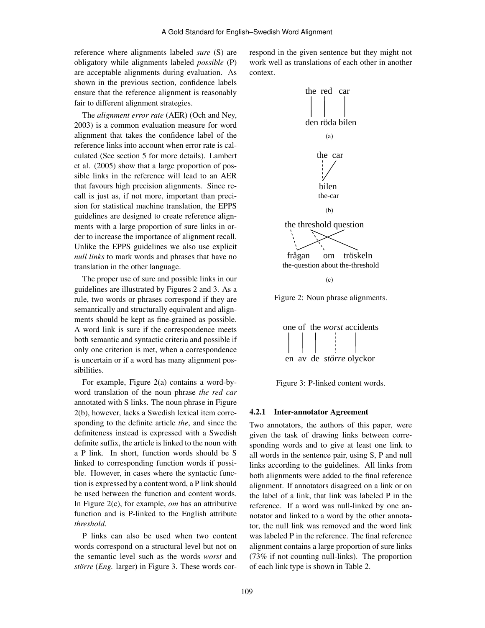reference where alignments labeled *sure* (S) are obligatory while alignments labeled *possible* (P) are acceptable alignments during evaluation. As shown in the previous section, confidence labels ensure that the reference alignment is reasonably fair to different alignment strategies.

The *alignment error rate* (AER) (Och and Ney, 2003) is a common evaluation measure for word alignment that takes the confidence label of the reference links into account when error rate is calculated (See section 5 for more details). Lambert et al. (2005) show that a large proportion of possible links in the reference will lead to an AER that favours high precision alignments. Since recall is just as, if not more, important than precision for statistical machine translation, the EPPS guidelines are designed to create reference alignments with a large proportion of sure links in order to increase the importance of alignment recall. Unlike the EPPS guidelines we also use explicit *null links* to mark words and phrases that have no translation in the other language.

The proper use of sure and possible links in our guidelines are illustrated by Figures 2 and 3. As a rule, two words or phrases correspond if they are semantically and structurally equivalent and alignments should be kept as fine-grained as possible. A word link is sure if the correspondence meets both semantic and syntactic criteria and possible if only one criterion is met, when a correspondence is uncertain or if a word has many alignment possibilities.

For example, Figure 2(a) contains a word-byword translation of the noun phrase *the red car* annotated with S links. The noun phrase in Figure 2(b), however, lacks a Swedish lexical item corresponding to the definite article *the*, and since the definiteness instead is expressed with a Swedish definite suffix, the article is linked to the noun with a P link. In short, function words should be S linked to corresponding function words if possible. However, in cases where the syntactic function is expressed by a content word, a P link should be used between the function and content words. In Figure 2(c), for example, *om* has an attributive function and is P-linked to the English attribute *threshold*.

P links can also be used when two content words correspond on a structural level but not on the semantic level such as the words *worst* and *större* (*Eng.* larger) in Figure 3. These words cor-

respond in the given sentence but they might not work well as translations of each other in another context.  $arcsations$  of cath office in another



Figure 2: Noun phrase alignments.



Figure 3: P-linked content words.

#### other in any other context. 4.2.1 Inter-annotator Agreement

Two annotators, the authors of this paper, were given the task of drawing links between corresponding words and to give at least one link to **Figure 4. Example of null-links**  tor, the null link was removed and the word link was labeled P in the reference. The final reference alignment contains a large proportion of sure links  $(73\% \text{ if not counting null-links})$ . The proportion of each link type is shown in Table 2.  $\mathbf{v}_1$ links according to the guidelines. All links from the label of a link, that link was labeled P in the reference. If a word was null-linked by one anall words in the sentence pair, using S, P and null both alignments were added to the final reference alignment. If annotators disagreed on a link or on notator and linked to a word by the other annotawas labeled P in the reference. The final reference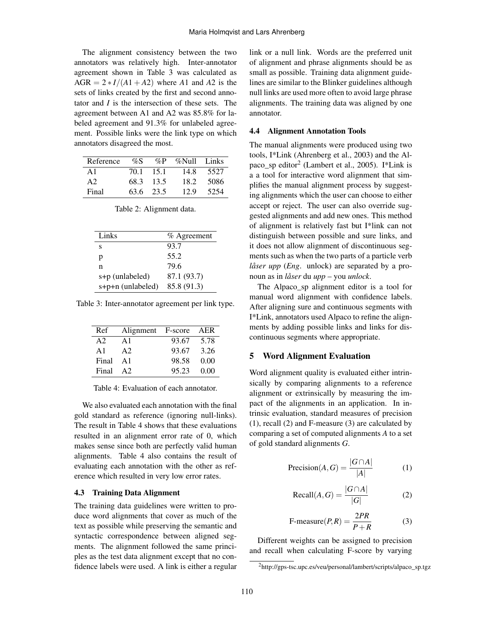The alignment consistency between the two annotators was relatively high. Inter-annotator agreement shown in Table 3 was calculated as  $AGR = 2 * I/(A1 + A2)$  where *A*1 and *A*2 is the sets of links created by the first and second annotator and *I* is the intersection of these sets. The agreement between A1 and A2 was 85.8% for labeled agreement and 91.3% for unlabeled agreement. Possible links were the link type on which annotators disagreed the most.

| Reference      | $\%S$ |           | %P %Null Links |       |
|----------------|-------|-----------|----------------|-------|
| A1             | 70.1  | -15.1     | 14.8           | 5527  |
| A <sub>2</sub> |       | 68.3 13.5 | 18.2           | -5086 |
| Final          |       | 63.6 23.5 | 12.9           | 5254  |

|  | Table 2: Alignment data. |  |
|--|--------------------------|--|
|--|--------------------------|--|

| Links             | $%$ Agreement |
|-------------------|---------------|
| s                 | 93.7          |
| р                 | 55.2          |
| n                 | 79.6          |
| s+p (unlabeled)   | 87.1 (93.7)   |
| s+p+n (unlabeled) | 85.8 (91.3)   |

Table 3: Inter-annotator agreement per link type.

| Ref           | Alignment F-score AER |       |      |
|---------------|-----------------------|-------|------|
| A2            | A1                    | 93.67 | 5.78 |
| $\mathbf{A}1$ | A2                    | 93.67 | 3.26 |
| Final         | $\mathbf{A}1$         | 98.58 | 0.00 |
| Final         | A2                    | 95.23 | 0.00 |

Table 4: Evaluation of each annotator.

We also evaluated each annotation with the final gold standard as reference (ignoring null-links). The result in Table 4 shows that these evaluations resulted in an alignment error rate of 0, which makes sense since both are perfectly valid human alignments. Table 4 also contains the result of evaluating each annotation with the other as reference which resulted in very low error rates.

### 4.3 Training Data Alignment

The training data guidelines were written to produce word alignments that cover as much of the text as possible while preserving the semantic and syntactic correspondence between aligned segments. The alignment followed the same principles as the test data alignment except that no confidence labels were used. A link is either a regular link or a null link. Words are the preferred unit of alignment and phrase alignments should be as small as possible. Training data alignment guidelines are similar to the Blinker guidelines although null links are used more often to avoid large phrase alignments. The training data was aligned by one annotator.

#### 4.4 Alignment Annotation Tools

The manual alignments were produced using two tools, I\*Link (Ahrenberg et al., 2003) and the Alpaco\_sp editor<sup>2</sup> (Lambert et al., 2005). I\*Link is a a tool for interactive word alignment that simplifies the manual alignment process by suggesting alignments which the user can choose to either accept or reject. The user can also override suggested alignments and add new ones. This method of alignment is relatively fast but I\*link can not distinguish between possible and sure links, and it does not allow alignment of discontinuous segments such as when the two parts of a particle verb *låser upp* (*Eng*. unlock) are separated by a pronoun as in *låser* du *upp* – you *unlock*.

The Alpaco\_sp alignment editor is a tool for manual word alignment with confidence labels. After aligning sure and continuous segments with I\*Link, annotators used Alpaco to refine the alignments by adding possible links and links for discontinuous segments where appropriate.

### 5 Word Alignment Evaluation

Word alignment quality is evaluated either intrinsically by comparing alignments to a reference alignment or extrinsically by measuring the impact of the alignments in an application. In intrinsic evaluation, standard measures of precision (1), recall (2) and F-measure (3) are calculated by comparing a set of computed alignments *A* to a set of gold standard alignments *G*.

$$
Precision(A, G) = \frac{|G \cap A|}{|A|} \tag{1}
$$

$$
Recall(A, G) = \frac{|G \cap A|}{|G|}
$$
 (2)

$$
F\text{-measure}(P,R) = \frac{2PR}{P+R} \tag{3}
$$

Different weights can be assigned to precision and recall when calculating F-score by varying

<sup>2</sup>http://gps-tsc.upc.es/veu/personal/lambert/scripts/alpaco\_sp.tgz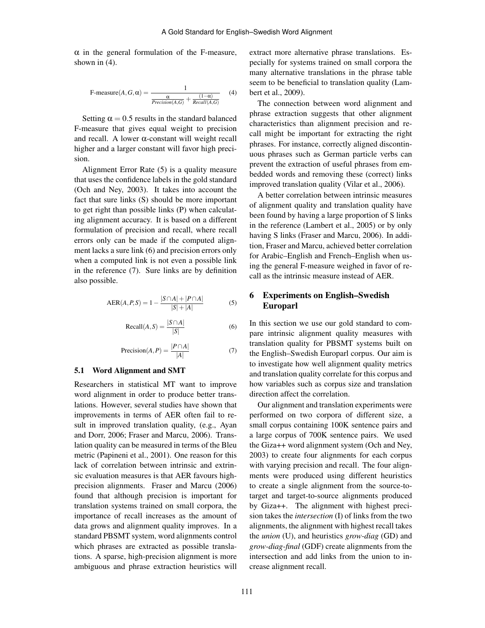$\alpha$  in the general formulation of the F-measure, shown in (4).

$$
\text{F-measure}(A, G, \alpha) = \frac{1}{\frac{\alpha}{Precision(A, G)} + \frac{(1 - \alpha)}{Recall(A, G)}}
$$
(4)

Setting  $\alpha = 0.5$  results in the standard balanced F-measure that gives equal weight to precision and recall. A lower α-constant will weight recall higher and a larger constant will favor high precision.

Alignment Error Rate (5) is a quality measure that uses the confidence labels in the gold standard (Och and Ney, 2003). It takes into account the fact that sure links (S) should be more important to get right than possible links (P) when calculating alignment accuracy. It is based on a different formulation of precision and recall, where recall errors only can be made if the computed alignment lacks a sure link (6) and precision errors only when a computed link is not even a possible link in the reference (7). Sure links are by definition also possible.

$$
AER(A, P, S) = 1 - \frac{|S \cap A| + |P \cap A|}{|S| + |A|}
$$
 (5)

$$
\text{Recall}(A, S) = \frac{|S \cap A|}{|S|} \tag{6}
$$

$$
Precision(A, P) = \frac{|P \cap A|}{|A|} \tag{7}
$$

#### 5.1 Word Alignment and SMT

Researchers in statistical MT want to improve word alignment in order to produce better translations. However, several studies have shown that improvements in terms of AER often fail to result in improved translation quality, (e.g., Ayan and Dorr, 2006; Fraser and Marcu, 2006). Translation quality can be measured in terms of the Bleu metric (Papineni et al., 2001). One reason for this lack of correlation between intrinsic and extrinsic evaluation measures is that AER favours highprecision alignments. Fraser and Marcu (2006) found that although precision is important for translation systems trained on small corpora, the importance of recall increases as the amount of data grows and alignment quality improves. In a standard PBSMT system, word alignments control which phrases are extracted as possible translations. A sparse, high-precision alignment is more ambiguous and phrase extraction heuristics will

extract more alternative phrase translations. Especially for systems trained on small corpora the many alternative translations in the phrase table seem to be beneficial to translation quality (Lambert et al., 2009).

The connection between word alignment and phrase extraction suggests that other alignment characteristics than alignment precision and recall might be important for extracting the right phrases. For instance, correctly aligned discontinuous phrases such as German particle verbs can prevent the extraction of useful phrases from embedded words and removing these (correct) links improved translation quality (Vilar et al., 2006).

A better correlation between intrinsic measures of alignment quality and translation quality have been found by having a large proportion of S links in the reference (Lambert et al., 2005) or by only having S links (Fraser and Marcu, 2006). In addition, Fraser and Marcu, achieved better correlation for Arabic–English and French–English when using the general F-measure weighed in favor of recall as the intrinsic measure instead of AER.

# 6 Experiments on English–Swedish Europarl

In this section we use our gold standard to compare intrinsic alignment quality measures with translation quality for PBSMT systems built on the English–Swedish Europarl corpus. Our aim is to investigate how well alignment quality metrics and translation quality correlate for this corpus and how variables such as corpus size and translation direction affect the correlation.

Our alignment and translation experiments were performed on two corpora of different size, a small corpus containing 100K sentence pairs and a large corpus of 700K sentence pairs. We used the Giza++ word alignment system (Och and Ney, 2003) to create four alignments for each corpus with varying precision and recall. The four alignments were produced using different heuristics to create a single alignment from the source-totarget and target-to-source alignments produced by Giza++. The alignment with highest precision takes the *intersection* (I) of links from the two alignments, the alignment with highest recall takes the *union* (U), and heuristics *grow-diag* (GD) and *grow-diag-final* (GDF) create alignments from the intersection and add links from the union to increase alignment recall.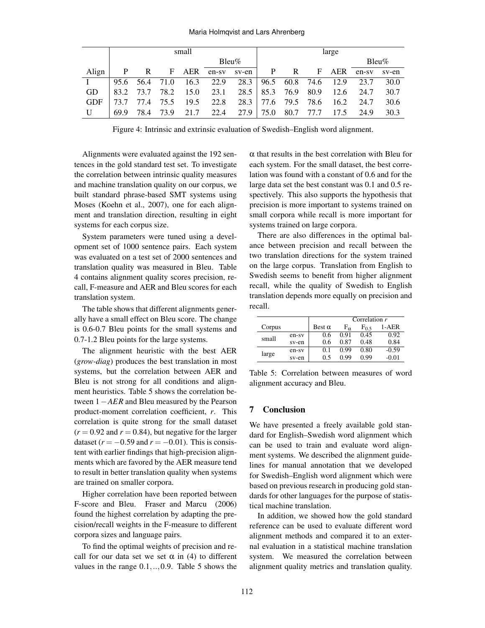#### Maria Holmqvist and Lars Ahrenberg

|            | small |              |  |  |                                                        | large |  |  |           |             |           |       |
|------------|-------|--------------|--|--|--------------------------------------------------------|-------|--|--|-----------|-------------|-----------|-------|
|            |       |              |  |  | $B$ leu $\%$                                           |       |  |  |           |             | $Bleu\%$  |       |
| Align      | P     | $\mathbb{R}$ |  |  | F AER en-sv sv-en P R                                  |       |  |  |           | F AER en-sv |           | sv-en |
|            |       |              |  |  | 95.6 56.4 71.0 16.3 22.9 28.3 96.5 60.8 74.6 12.9 23.7 |       |  |  |           |             |           | 30.0  |
| GD.        |       |              |  |  | 83.2 73.7 78.2 15.0 23.1 28.5 85.3 76.9 80.9 12.6 24.7 |       |  |  |           |             |           | 30.7  |
| <b>GDF</b> | 73.7  |              |  |  | 77.4 75.5 19.5 22.8 28.3 77.6 79.5 78.6 16.2 24.7      |       |  |  |           |             |           | 30.6  |
| U          | 69.9  |              |  |  | 78.4 73.9 21.7 22.4 27.9 75.0                          |       |  |  | 80.7 77.7 |             | 17.5 24.9 | 30.3  |

Figure 4: Intrinsic and extrinsic evaluation of Swedish–English word alignment.

Alignments were evaluated against the 192 sentences in the gold standard test set. To investigate the correlation between intrinsic quality measures and machine translation quality on our corpus, we built standard phrase-based SMT systems using Moses (Koehn et al., 2007), one for each alignment and translation direction, resulting in eight systems for each corpus size.

System parameters were tuned using a development set of 1000 sentence pairs. Each system was evaluated on a test set of 2000 sentences and translation quality was measured in Bleu. Table 4 contains alignment quality scores precision, recall, F-measure and AER and Bleu scores for each translation system.

The table shows that different alignments generally have a small effect on Bleu score. The change is 0.6-0.7 Bleu points for the small systems and 0.7-1.2 Bleu points for the large systems.

The alignment heuristic with the best AER (*grow-diag*) produces the best translation in most systems, but the correlation between AER and Bleu is not strong for all conditions and alignment heuristics. Table 5 shows the correlation between 1−*AER* and Bleu measured by the Pearson product-moment correlation coefficient, *r*. This correlation is quite strong for the small dataset  $(r = 0.92$  and  $r = 0.84$ ), but negative for the larger dataset ( $r = -0.59$  and  $r = -0.01$ ). This is consistent with earlier findings that high-precision alignments which are favored by the AER measure tend to result in better translation quality when systems are trained on smaller corpora.

Higher correlation have been reported between F-score and Bleu. Fraser and Marcu (2006) found the highest correlation by adapting the precision/recall weights in the F-measure to different corpora sizes and language pairs.

To find the optimal weights of precision and recall for our data set we set  $\alpha$  in (4) to different values in the range  $0.1, \ldots, 0.9$ . Table 5 shows the  $\alpha$  that results in the best correlation with Bleu for each system. For the small dataset, the best correlation was found with a constant of 0.6 and for the large data set the best constant was 0.1 and 0.5 respectively. This also supports the hypothesis that precision is more important to systems trained on small corpora while recall is more important for systems trained on large corpora.

There are also differences in the optimal balance between precision and recall between the two translation directions for the system trained on the large corpus. Translation from English to Swedish seems to benefit from higher alignment recall, while the quality of Swedish to English translation depends more equally on precision and recall.

|        |       | Correlation $r$ |              |         |         |  |
|--------|-------|-----------------|--------------|---------|---------|--|
| Corpus |       | Best $\alpha$   | $F_{\alpha}$ | $F_0$ s | 1-AER   |  |
| small  | en-sv | 0.6             | 0.91         | 0.45    | 0.92    |  |
|        | sv-en | 0.6             | 0.87         | 0.48    | 0.84    |  |
| large  | en-sv | 0.1             | 0.99         | 0.80    | $-0.59$ |  |
|        | sv-en | 0.5             | N 99         | 0.99    | $-0.01$ |  |

Table 5: Correlation between measures of word alignment accuracy and Bleu.

## 7 Conclusion

We have presented a freely available gold standard for English–Swedish word alignment which can be used to train and evaluate word alignment systems. We described the alignment guidelines for manual annotation that we developed for Swedish–English word alignment which were based on previous research in producing gold standards for other languages for the purpose of statistical machine translation.

In addition, we showed how the gold standard reference can be used to evaluate different word alignment methods and compared it to an external evaluation in a statistical machine translation system. We measured the correlation between alignment quality metrics and translation quality.